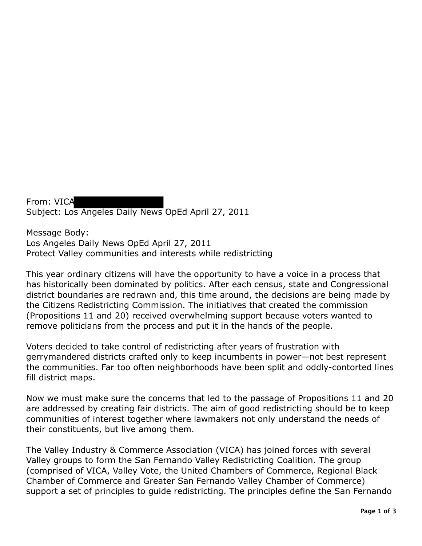From: VICA Subject: Los Angeles Daily News OpEd April 27, 2011

Message Body: Los Angeles Daily News OpEd April 27, 2011 Protect Valley communities and interests while redistricting

This year ordinary citizens will have the opportunity to have a voice in a process that has historically been dominated by politics. After each census, state and Congressional district boundaries are redrawn and, this time around, the decisions are being made by the Citizens Redistricting Commission. The initiatives that created the commission (Propositions 11 and 20) received overwhelming support because voters wanted to remove politicians from the process and put it in the hands of the people.

Voters decided to take control of redistricting after years of frustration with gerrymandered districts crafted only to keep incumbents in power—not best represent the communities. Far too often neighborhoods have been split and oddly-contorted lines fill district maps.

Now we must make sure the concerns that led to the passage of Propositions 11 and 20 are addressed by creating fair districts. The aim of good redistricting should be to keep communities of interest together where lawmakers not only understand the needs of their constituents, but live among them.

The Valley Industry & Commerce Association (VICA) has joined forces with several Valley groups to form the San Fernando Valley Redistricting Coalition. The group (comprised of VICA, Valley Vote, the United Chambers of Commerce, Regional Black Chamber of Commerce and Greater San Fernando Valley Chamber of Commerce) support a set of principles to guide redistricting. The principles define the San Fernando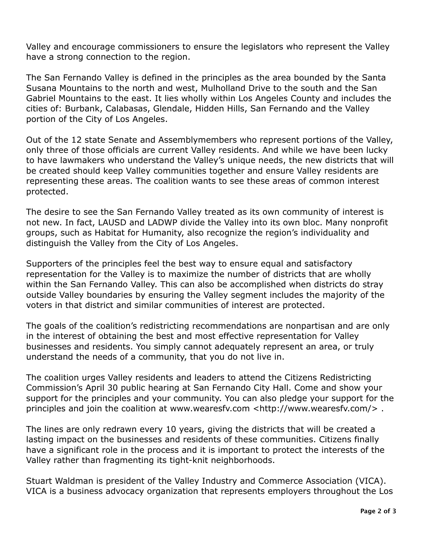Valley and encourage commissioners to ensure the legislators who represent the Valley have a strong connection to the region.

 The San Fernando Valley is defined in the principles as the area bounded by the Santa Susana Mountains to the north and west, Mulholland Drive to the south and the San Gabriel Mountains to the east. It lies wholly within Los Angeles County and includes the cities of: Burbank, Calabasas, Glendale, Hidden Hills, San Fernando and the Valley portion of the City of Los Angeles.

 Out of the 12 state Senate and Assemblymembers who represent portions of the Valley, only three of those officials are current Valley residents. And while we have been lucky to have lawmakers who understand the Valley's unique needs, the new districts that will be created should keep Valley communities together and ensure Valley residents are representing these areas. The coalition wants to see these areas of common interest protected.

 The desire to see the San Fernando Valley treated as its own community of interest is not new. In fact, LAUSD and LADWP divide the Valley into its own bloc. Many nonprofit groups, such as Habitat for Humanity, also recognize the region's individuality and distinguish the Valley from the City of Los Angeles.

 Supporters of the principles feel the best way to ensure equal and satisfactory representation for the Valley is to maximize the number of districts that are wholly within the San Fernando Valley. This can also be accomplished when districts do stray outside Valley boundaries by ensuring the Valley segment includes the majority of the voters in that district and similar communities of interest are protected.

 The goals of the coalition's redistricting recommendations are nonpartisan and are only in the interest of obtaining the best and most effective representation for Valley businesses and residents. You simply cannot adequately represent an area, or truly understand the needs of a community, that you do not live in.

 The coalition urges Valley residents and leaders to attend the Citizens Redistricting Commission's April 30 public hearing at San Fernando City Hall. Come and show your support for the principles and your community. You can also pledge your support for the principles and join the coalition at www.wearesfv.com <http://www.wearesfv.com/> .

 The lines are only redrawn every 10 years, giving the districts that will be created a lasting impact on the businesses and residents of these communities. Citizens finally have a significant role in the process and it is important to protect the interests of the Valley rather than fragmenting its tight-knit neighborhoods.

 Stuart Waldman is president of the Valley Industry and Commerce Association (VICA). VICA is a business advocacy organization that represents employers throughout the Los